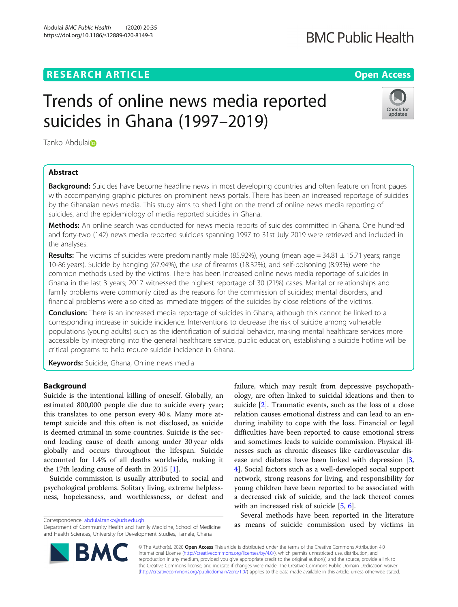# **RESEARCH ARTICLE Example 2014 12:30 The Contract of Contract ACCESS**

# Trends of online news media reported suicides in Ghana (1997–2019)

Tanko Abdulai**o** 

# Abstract

**Background:** Suicides have become headline news in most developing countries and often feature on front pages with accompanying graphic pictures on prominent news portals. There has been an increased reportage of suicides by the Ghanaian news media. This study aims to shed light on the trend of online news media reporting of suicides, and the epidemiology of media reported suicides in Ghana.

Methods: An online search was conducted for news media reports of suicides committed in Ghana. One hundred and forty-two (142) news media reported suicides spanning 1997 to 31st July 2019 were retrieved and included in the analyses.

Results: The victims of suicides were predominantly male (85.92%), young (mean age =  $34.81 \pm 15.71$  years; range 10-86 years). Suicide by hanging (67.94%), the use of firearms (18.32%), and self-poisoning (8.93%) were the common methods used by the victims. There has been increased online news media reportage of suicides in Ghana in the last 3 years; 2017 witnessed the highest reportage of 30 (21%) cases. Marital or relationships and family problems were commonly cited as the reasons for the commission of suicides; mental disorders, and financial problems were also cited as immediate triggers of the suicides by close relations of the victims.

**Conclusion:** There is an increased media reportage of suicides in Ghana, although this cannot be linked to a corresponding increase in suicide incidence. Interventions to decrease the risk of suicide among vulnerable populations (young adults) such as the identification of suicidal behavior, making mental healthcare services more accessible by integrating into the general healthcare service, public education, establishing a suicide hotline will be critical programs to help reduce suicide incidence in Ghana.

Keywords: Suicide, Ghana, Online news media

# **Background**

Suicide is the intentional killing of oneself. Globally, an estimated 800,000 people die due to suicide every year; this translates to one person every 40 s. Many more attempt suicide and this often is not disclosed, as suicide is deemed criminal in some countries. Suicide is the second leading cause of death among under 30 year olds globally and occurs throughout the lifespan. Suicide accounted for 1.4% of all deaths worldwide, making it the 17th leading cause of death in 2015 [\[1](#page-6-0)].

Suicide commission is usually attributed to social and psychological problems. Solitary living, extreme helplessness, hopelessness, and worthlessness, or defeat and

Correspondence: [abdulai.tanko@uds.edu.gh](mailto:abdulai.tanko@uds.edu.gh)

suicide [[2](#page-6-0)]. Traumatic events, such as the loss of a close relation causes emotional distress and can lead to an enduring inability to cope with the loss. Financial or legal difficulties have been reported to cause emotional stress and sometimes leads to suicide commission. Physical illnesses such as chronic diseases like cardiovascular disease and diabetes have been linked with depression [\[3](#page-6-0), [4\]](#page-6-0). Social factors such as a well-developed social support network, strong reasons for living, and responsibility for young children have been reported to be associated with a decreased risk of suicide, and the lack thereof comes with an increased risk of suicide [[5,](#page-6-0) [6\]](#page-6-0).

failure, which may result from depressive psychopathology, are often linked to suicidal ideations and then to

Several methods have been reported in the literature as means of suicide commission used by victims in

© The Author(s). 2020 Open Access This article is distributed under the terms of the Creative Commons Attribution 4.0 International License [\(http://creativecommons.org/licenses/by/4.0/](http://creativecommons.org/licenses/by/4.0/)), which permits unrestricted use, distribution, and reproduction in any medium, provided you give appropriate credit to the original author(s) and the source, provide a link to the Creative Commons license, and indicate if changes were made. The Creative Commons Public Domain Dedication waiver [\(http://creativecommons.org/publicdomain/zero/1.0/](http://creativecommons.org/publicdomain/zero/1.0/)) applies to the data made available in this article, unless otherwise stated.





updates

Department of Community Health and Family Medicine, School of Medicine and Health Sciences, University for Development Studies, Tamale, Ghana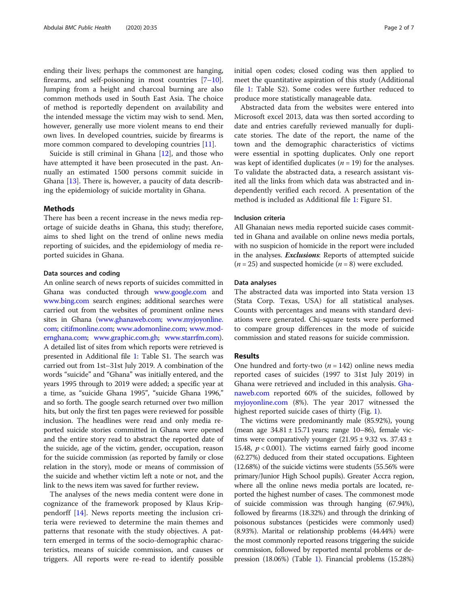ending their lives; perhaps the commonest are hanging, firearms, and self-poisoning in most countries  $[7-10]$  $[7-10]$  $[7-10]$  $[7-10]$  $[7-10]$ . Jumping from a height and charcoal burning are also common methods used in South East Asia. The choice of method is reportedly dependent on availability and the intended message the victim may wish to send. Men, however, generally use more violent means to end their own lives. In developed countries, suicide by firearms is more common compared to developing countries [\[11\]](#page-6-0).

Suicide is still criminal in Ghana [[12\]](#page-6-0), and those who have attempted it have been prosecuted in the past. Annually an estimated 1500 persons commit suicide in Ghana [[13\]](#page-6-0). There is, however, a paucity of data describing the epidemiology of suicide mortality in Ghana.

# Methods

There has been a recent increase in the news media reportage of suicide deaths in Ghana, this study; therefore, aims to shed light on the trend of online news media reporting of suicides, and the epidemiology of media reported suicides in Ghana.

### Data sources and coding

An online search of news reports of suicides committed in Ghana was conducted through [www.google.com](http://www.google.com) and [www.bing.com](http://www.bing.com) search engines; additional searches were carried out from the websites of prominent online news sites in Ghana ([www.ghanaweb.com](http://www.ghanaweb.com); [www.myjoyonline.](http://www.myjoyonline.com) [com](http://www.myjoyonline.com); [citifmonline.com;](http://citifmonline.com) [www.adomonline.com](http://www.adomonline.com); [www.mod](http://www.modernghana.com)[ernghana.com](http://www.modernghana.com); [www.graphic.com.gh](http://www.graphic.com.gh); [www.starrfm.com](http://www.starrfm.com)). A detailed list of sites from which reports were retrieved is presented in Additional file [1](#page-6-0): Table S1. The search was carried out from 1st–31st July 2019. A combination of the words "suicide" and "Ghana" was initially entered, and the years 1995 through to 2019 were added; a specific year at a time, as "suicide Ghana 1995", "suicide Ghana 1996," and so forth. The google search returned over two million hits, but only the first ten pages were reviewed for possible inclusion. The headlines were read and only media reported suicide stories committed in Ghana were opened and the entire story read to abstract the reported date of the suicide, age of the victim, gender, occupation, reason for the suicide commission (as reported by family or close relation in the story), mode or means of commission of the suicide and whether victim left a note or not, and the link to the news item was saved for further review.

The analyses of the news media content were done in cognizance of the framework proposed by Klaus Krippendorff [\[14](#page-6-0)]. News reports meeting the inclusion criteria were reviewed to determine the main themes and patterns that resonate with the study objectives. A pattern emerged in terms of the socio-demographic characteristics, means of suicide commission, and causes or triggers. All reports were re-read to identify possible initial open codes; closed coding was then applied to meet the quantitative aspiration of this study (Additional file [1:](#page-6-0) Table S2). Some codes were further reduced to produce more statistically manageable data.

Abstracted data from the websites were entered into Microsoft excel 2013, data was then sorted according to date and entries carefully reviewed manually for duplicate stories. The date of the report, the name of the town and the demographic characteristics of victims were essential in spotting duplicates. Only one report was kept of identified duplicates ( $n = 19$ ) for the analyses. To validate the abstracted data, a research assistant visited all the links from which data was abstracted and independently verified each record. A presentation of the method is included as Additional file [1:](#page-6-0) Figure S1.

### Inclusion criteria

All Ghanaian news media reported suicide cases committed in Ghana and available on online news media portals, with no suspicion of homicide in the report were included in the analyses. *Exclusions*: Reports of attempted suicide  $(n = 25)$  and suspected homicide  $(n = 8)$  were excluded.

#### Data analyses

The abstracted data was imported into Stata version 13 (Stata Corp. Texas, USA) for all statistical analyses. Counts with percentages and means with standard deviations were generated. Chi-square tests were performed to compare group differences in the mode of suicide commission and stated reasons for suicide commission.

# Results

One hundred and forty-two  $(n = 142)$  online news media reported cases of suicides (1997 to 31st July 2019) in Ghana were retrieved and included in this analysis. [Gha](http://ghanaweb.com)[naweb.com](http://ghanaweb.com) reported 60% of the suicides, followed by [myjoyonline.com](http://myjoyonline.com) (8%). The year 2017 witnessed the highest reported suicide cases of thirty (Fig. [1](#page-2-0)).

The victims were predominantly male (85.92%), young (mean age 34.81 ± 15.71 years; range 10–86), female victims were comparatively younger  $(21.95 \pm 9.32 \text{ vs. } 37.43 \pm 1)$ 15.48,  $p < 0.001$ ). The victims earned fairly good income (62.27%) deduced from their stated occupations. Eighteen (12.68%) of the suicide victims were students (55.56% were primary/Junior High School pupils). Greater Accra region, where all the online news media portals are located, reported the highest number of cases. The commonest mode of suicide commission was through hanging (67.94%), followed by firearms (18.32%) and through the drinking of poisonous substances (pesticides were commonly used) (8.93%). Marital or relationship problems (44.44%) were the most commonly reported reasons triggering the suicide commission, followed by reported mental problems or depression (18.06%) (Table [1](#page-2-0)). Financial problems (15.28%)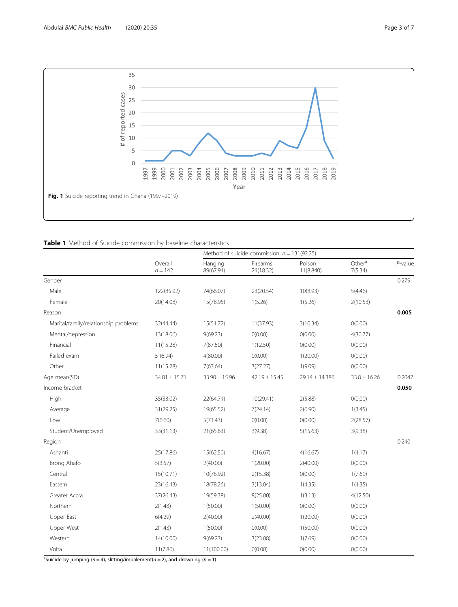<span id="page-2-0"></span>

# Table 1 Method of Suicide commission by baseline characteristics

|                                      | Overall<br>$n = 142$ | Method of suicide commission, $n = 131(92.25)$ |                       |                     |                               |            |  |
|--------------------------------------|----------------------|------------------------------------------------|-----------------------|---------------------|-------------------------------|------------|--|
|                                      |                      | Hanging<br>89(67.94)                           | Firearms<br>24(18.32) | Poison<br>11(8.840) | Other <sup>a</sup><br>7(5.34) | $P$ -value |  |
| Gender                               |                      |                                                |                       |                     |                               | 0.279      |  |
| Male                                 | 122(85.92)           | 74(66.07)                                      | 23(20.54)             | 10(8.93)            | 5(4.46)                       |            |  |
| Female                               | 20(14.08)            | 15(78.95)                                      | 1(5.26)               | 1(5.26)             | 2(10.53)                      |            |  |
| Reason                               |                      |                                                |                       |                     |                               | 0.005      |  |
| Marital/family/relationship problems | 32(44.44)            | 15(51.72)                                      | 11(37.93)             | 3(10.34)            | O(0.00)                       |            |  |
| Mental/depression                    | 13(18.06)            | 9(69.23)                                       | O(0.00)               | O(0.00)             | 4(30.77)                      |            |  |
| Financial                            | 11(15.28)            | 7(87.50)                                       | 1(12.50)              | O(0.00)             | O(0.00)                       |            |  |
| Failed exam                          | 5(6.94)              | 4(80.00)                                       | O(0.00)               | 1(20.00)            | O(0.00)                       |            |  |
| Other                                | 11(15.28)            | 7(63.64)                                       | 3(27.27)              | 1(9.09)             | O(0.00)                       |            |  |
| Age mean(SD)                         | $34.81 \pm 15.71$    | $33.90 \pm 15.96$                              | $42.19 \pm 15.45$     | $29.14 \pm 14.386$  | $33.8 \pm 16.26$              | 0.2047     |  |
| Income bracket                       |                      |                                                |                       |                     |                               | 0.050      |  |
| High                                 | 35(33.02)            | 22(64.71)                                      | 10(29.41)             | 2(5.88)             | O(0.00)                       |            |  |
| Average                              | 31(29.25)            | 19(65.52)                                      | 7(24.14)              | 2(6.90)             | 1(3.45)                       |            |  |
| Low                                  | 7(6.60)              | 5(71.43)                                       | O(0.00)               | O(0.00)             | 2(28.57)                      |            |  |
| Student/Unemployed                   | 33(31.13)            | 21(65.63)                                      | 3(9.38)               | 5(15.63)            | 3(9.38)                       |            |  |
| Region                               |                      |                                                |                       |                     |                               | 0.240      |  |
| Ashanti                              | 25(17.86)            | 15(62.50)                                      | 4(16.67)              | 4(16.67)            | 1(4.17)                       |            |  |
| Brong Ahafo                          | 5(3.57)              | 2(40.00)                                       | 1(20.00)              | 2(40.00)            | O(0.00)                       |            |  |
| Central                              | 15(10.71)            | 10(76.92)                                      | 2(15.38)              | O(0.00)             | 1(7.69)                       |            |  |
| Eastern                              | 23(16.43)            | 18(78.26)                                      | 3(13.04)              | 1(4.35)             | 1(4.35)                       |            |  |
| Greater Accra                        | 37(26.43)            | 19(59.38)                                      | 8(25.00)              | 1(3.13)             | 4(12.50)                      |            |  |
| Northern                             | 2(1.43)              | 1(50.00)                                       | 1(50.00)              | O(0.00)             | O(0.00)                       |            |  |
| Upper East                           | 6(4.29)              | 2(40.00)                                       | 2(40.00)              | 1(20.00)            | O(0.00)                       |            |  |
| Upper West                           | 2(1.43)              | 1(50.00)                                       | 0(0.00)               | 1(50.00)            | O(0.00)                       |            |  |
| Western                              | 14(10.00)            | 9(69.23)                                       | 3(23.08)              | 1(7.69)             | O(0.00)                       |            |  |
| Volta                                | 11(7.86)             | 11(100.00)                                     | O(0.00)               | O(0.00)             | O(0.00)                       |            |  |

<sup>a</sup>Suicide by jumping ( $n = 4$ ), slitting/impalement( $n = 2$ ), and drowning ( $n = 1$ )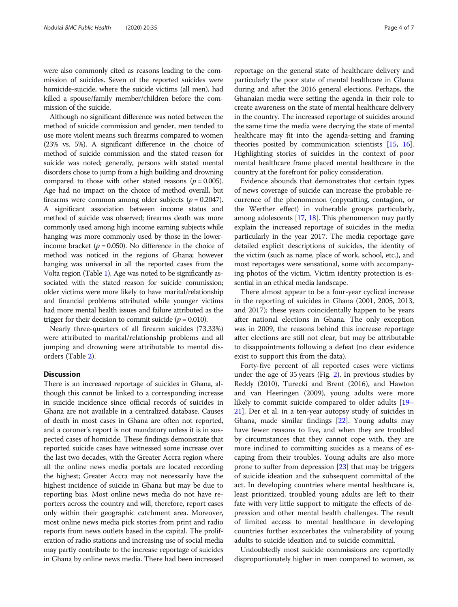were also commonly cited as reasons leading to the commission of suicides. Seven of the reported suicides were homicide-suicide, where the suicide victims (all men), had killed a spouse/family member/children before the commission of the suicide.

Although no significant difference was noted between the method of suicide commission and gender, men tended to use more violent means such firearms compared to women (23% vs. 5%). A significant difference in the choice of method of suicide commission and the stated reason for suicide was noted; generally, persons with stated mental disorders chose to jump from a high building and drowning compared to those with other stated reasons ( $p = 0.005$ ). Age had no impact on the choice of method overall, but firearms were common among older subjects ( $p = 0.2047$ ). A significant association between income status and method of suicide was observed; firearms death was more commonly used among high income earning subjects while hanging was more commonly used by those in the lowerincome bracket ( $p = 0.050$ ). No difference in the choice of method was noticed in the regions of Ghana; however hanging was universal in all the reported cases from the Volta region (Table [1](#page-2-0)). Age was noted to be significantly associated with the stated reason for suicide commission; older victims were more likely to have marital/relationship and financial problems attributed while younger victims had more mental health issues and failure attributed as the trigger for their decision to commit suicide ( $p = 0.010$ ).

Nearly three-quarters of all firearm suicides (73.33%) were attributed to marital/relationship problems and all jumping and drowning were attributable to mental disorders (Table [2\)](#page-4-0).

# Discussion

There is an increased reportage of suicides in Ghana, although this cannot be linked to a corresponding increase in suicide incidence since official records of suicides in Ghana are not available in a centralized database. Causes of death in most cases in Ghana are often not reported, and a coroner's report is not mandatory unless it is in suspected cases of homicide. These findings demonstrate that reported suicide cases have witnessed some increase over the last two decades, with the Greater Accra region where all the online news media portals are located recording the highest; Greater Accra may not necessarily have the highest incidence of suicide in Ghana but may be due to reporting bias. Most online news media do not have reporters across the country and will, therefore, report cases only within their geographic catchment area. Moreover, most online news media pick stories from print and radio reports from news outlets based in the capital. The proliferation of radio stations and increasing use of social media may partly contribute to the increase reportage of suicides in Ghana by online news media. There had been increased

reportage on the general state of healthcare delivery and particularly the poor state of mental healthcare in Ghana during and after the 2016 general elections. Perhaps, the Ghanaian media were setting the agenda in their role to create awareness on the state of mental healthcare delivery in the country. The increased reportage of suicides around the same time the media were decrying the state of mental healthcare may fit into the agenda-setting and framing theories posited by communication scientists [\[15,](#page-6-0) [16](#page-6-0)]. Highlighting stories of suicides in the context of poor mental healthcare frame placed mental healthcare in the country at the forefront for policy consideration.

Evidence abounds that demonstrates that certain types of news coverage of suicide can increase the probable recurrence of the phenomenon (copycatting, contagion, or the Werther effect) in vulnerable groups particularly, among adolescents [[17](#page-6-0), [18](#page-6-0)]. This phenomenon may partly explain the increased reportage of suicides in the media particularly in the year 2017. The media reportage gave detailed explicit descriptions of suicides, the identity of the victim (such as name, place of work, school, etc.), and most reportages were sensational, some with accompanying photos of the victim. Victim identity protection is essential in an ethical media landscape.

There almost appear to be a four-year cyclical increase in the reporting of suicides in Ghana (2001, 2005, 2013, and 2017); these years coincidentally happen to be years after national elections in Ghana. The only exception was in 2009, the reasons behind this increase reportage after elections are still not clear, but may be attributable to disappointments following a defeat (no clear evidence exist to support this from the data).

Forty-five percent of all reported cases were victims under the age of 35 years (Fig. [2\)](#page-4-0). In previous studies by Reddy (2010), Turecki and Brent (2016), and Hawton and van Heeringen (2009), young adults were more likely to commit suicide compared to older adults [[19](#page-6-0)– [21\]](#page-6-0). Der et al. in a ten-year autopsy study of suicides in Ghana, made similar findings [[22\]](#page-6-0). Young adults may have fewer reasons to live, and when they are troubled by circumstances that they cannot cope with, they are more inclined to committing suicides as a means of escaping from their troubles. Young adults are also more prone to suffer from depression  $[23]$  $[23]$  that may be triggers of suicide ideation and the subsequent committal of the act. In developing countries where mental healthcare is, least prioritized, troubled young adults are left to their fate with very little support to mitigate the effects of depression and other mental health challenges. The result of limited access to mental healthcare in developing countries further exacerbates the vulnerability of young adults to suicide ideation and to suicide committal.

Undoubtedly most suicide commissions are reportedly disproportionately higher in men compared to women, as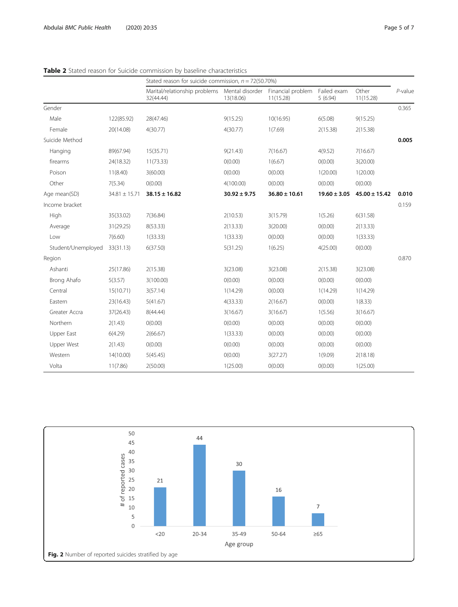|                    |                   | Stated reason for suicide commission, $n = 72(50.70%)$                       |                  |                   |                        |                    |            |  |  |
|--------------------|-------------------|------------------------------------------------------------------------------|------------------|-------------------|------------------------|--------------------|------------|--|--|
|                    |                   | Marital/relationship problems Mental disorder Financial problem<br>32(44.44) | 13(18.06)        | 11(15.28)         | Failed exam<br>5(6.94) | Other<br>11(15.28) | $P$ -value |  |  |
| Gender             |                   |                                                                              |                  |                   |                        |                    | 0.365      |  |  |
| Male               | 122(85.92)        | 28(47.46)                                                                    | 9(15.25)         | 10(16.95)         | 6(5.08)                | 9(15.25)           |            |  |  |
| Female             | 20(14.08)         | 4(30.77)                                                                     | 4(30.77)         | 1(7.69)           | 2(15.38)               | 2(15.38)           |            |  |  |
| Suicide Method     |                   |                                                                              |                  |                   |                        |                    | 0.005      |  |  |
| Hanging            | 89(67.94)         | 15(35.71)                                                                    | 9(21.43)         | 7(16.67)          | 4(9.52)                | 7(16.67)           |            |  |  |
| firearms           | 24(18.32)         | 11(73.33)                                                                    | O(0.00)          | 1(6.67)           | 0(0.00)                | 3(20.00)           |            |  |  |
| Poison             | 11(8.40)          | 3(60.00)                                                                     | O(0.00)          | O(0.00)           | 1(20.00)               | 1(20.00)           |            |  |  |
| Other              | 7(5.34)           | O(0.00)                                                                      | 4(100.00)        | O(0.00)           | 0(0.00)                | O(0.00)            |            |  |  |
| Age mean(SD)       | $34.81 \pm 15.71$ | $38.15 \pm 16.82$                                                            | $30.92 \pm 9.75$ | $36.80 \pm 10.61$ | $19.60 \pm 3.05$       | $45.00 \pm 15.42$  | 0.010      |  |  |
| Income bracket     |                   |                                                                              |                  |                   |                        |                    | 0.159      |  |  |
| High               | 35(33.02)         | 7(36.84)                                                                     | 2(10.53)         | 3(15.79)          | 1(5.26)                | 6(31.58)           |            |  |  |
| Average            | 31(29.25)         | 8(53.33)                                                                     | 2(13.33)         | 3(20.00)          | 0(0.00)                | 2(13.33)           |            |  |  |
| Low                | 7(6.60)           | 1(33.33)                                                                     | 1(33.33)         | O(0.00)           | 0(0.00)                | 1(33.33)           |            |  |  |
| Student/Unemployed | 33(31.13)         | 6(37.50)                                                                     | 5(31.25)         | 1(6.25)           | 4(25.00)               | O(0.00)            |            |  |  |
| Region             |                   |                                                                              |                  |                   |                        |                    | 0.870      |  |  |
| Ashanti            | 25(17.86)         | 2(15.38)                                                                     | 3(23.08)         | 3(23.08)          | 2(15.38)               | 3(23.08)           |            |  |  |
| Brong Ahafo        | 5(3.57)           | 3(100.00)                                                                    | O(0.00)          | O(0.00)           | 0(0.00)                | O(0.00)            |            |  |  |
| Central            | 15(10.71)         | 3(57.14)                                                                     | 1(14.29)         | O(0.00)           | 1(14.29)               | 1(14.29)           |            |  |  |
| Eastern            | 23(16.43)         | 5(41.67)                                                                     | 4(33.33)         | 2(16.67)          | 0(0.00)                | 1(8.33)            |            |  |  |
| Greater Accra      | 37(26.43)         | 8(44.44)                                                                     | 3(16.67)         | 3(16.67)          | 1(5.56)                | 3(16.67)           |            |  |  |
| Northern           | 2(1.43)           | O(0.00)                                                                      | O(0.00)          | O(0.00)           | 0(0.00)                | O(0.00)            |            |  |  |
| Upper East         | 6(4.29)           | 2(66.67)                                                                     | 1(33.33)         | O(0.00)           | O(0.00)                | O(0.00)            |            |  |  |
| Upper West         | 2(1.43)           | O(0.00)                                                                      | O(0.00)          | O(0.00)           | 0(0.00)                | O(0.00)            |            |  |  |
| Western            | 14(10.00)         | 5(45.45)                                                                     | O(0.00)          | 3(27.27)          | 1(9.09)                | 2(18.18)           |            |  |  |
| Volta              | 11(7.86)          | 2(50.00)                                                                     | 1(25.00)         | O(0.00)           | 0(0.00)                | 1(25.00)           |            |  |  |

# <span id="page-4-0"></span>Table 2 Stated reason for Suicide commission by baseline characteristics

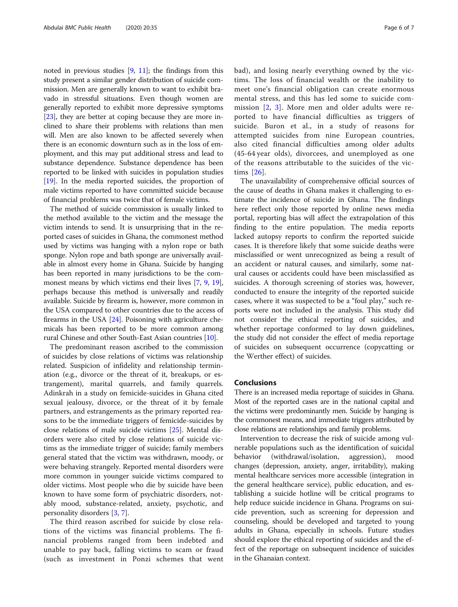noted in previous studies  $[9, 11]$  $[9, 11]$  $[9, 11]$ ; the findings from this study present a similar gender distribution of suicide commission. Men are generally known to want to exhibit bravado in stressful situations. Even though women are generally reported to exhibit more depressive symptoms [[23](#page-6-0)], they are better at coping because they are more inclined to share their problems with relations than men will. Men are also known to be affected severely when there is an economic downturn such as in the loss of employment, and this may put additional stress and lead to substance dependence. Substance dependence has been reported to be linked with suicides in population studies [[19](#page-6-0)]. In the media reported suicides, the proportion of male victims reported to have committed suicide because of financial problems was twice that of female victims.

The method of suicide commission is usually linked to the method available to the victim and the message the victim intends to send. It is unsurprising that in the reported cases of suicides in Ghana, the commonest method used by victims was hanging with a nylon rope or bath sponge. Nylon rope and bath sponge are universally available in almost every home in Ghana. Suicide by hanging has been reported in many jurisdictions to be the commonest means by which victims end their lives [\[7,](#page-6-0) [9](#page-6-0), [19](#page-6-0)], perhaps because this method is universally and readily available. Suicide by firearm is, however, more common in the USA compared to other countries due to the access of firearms in the USA [\[24\]](#page-6-0). Poisoning with agriculture chemicals has been reported to be more common among rural Chinese and other South-East Asian countries [\[10](#page-6-0)].

The predominant reason ascribed to the commission of suicides by close relations of victims was relationship related. Suspicion of infidelity and relationship termination (e.g., divorce or the threat of it, breakups, or estrangement), marital quarrels, and family quarrels. Adinkrah in a study on femicide-suicides in Ghana cited sexual jealousy, divorce, or the threat of it by female partners, and estrangements as the primary reported reasons to be the immediate triggers of femicide-suicides by close relations of male suicide victims [\[25](#page-6-0)]. Mental disorders were also cited by close relations of suicide victims as the immediate trigger of suicide; family members general stated that the victim was withdrawn, moody, or were behaving strangely. Reported mental disorders were more common in younger suicide victims compared to older victims. Most people who die by suicide have been known to have some form of psychiatric disorders, notably mood, substance-related, anxiety, psychotic, and personality disorders [[3,](#page-6-0) [7\]](#page-6-0).

The third reason ascribed for suicide by close relations of the victims was financial problems. The financial problems ranged from been indebted and unable to pay back, falling victims to scam or fraud (such as investment in Ponzi schemes that went bad), and losing nearly everything owned by the victims. The loss of financial wealth or the inability to meet one's financial obligation can create enormous mental stress, and this has led some to suicide commission [[2,](#page-6-0) [3\]](#page-6-0). More men and older adults were reported to have financial difficulties as triggers of suicide. Buron et al., in a study of reasons for attempted suicides from nine European countries, also cited financial difficulties among older adults (45-64 year olds), divorcees, and unemployed as one of the reasons attributable to the suicides of the victims [\[26\]](#page-6-0).

The unavailability of comprehensive official sources of the cause of deaths in Ghana makes it challenging to estimate the incidence of suicide in Ghana. The findings here reflect only those reported by online news media portal, reporting bias will affect the extrapolation of this finding to the entire population. The media reports lacked autopsy reports to confirm the reported suicide cases. It is therefore likely that some suicide deaths were misclassified or went unrecognized as being a result of an accident or natural causes, and similarly, some natural causes or accidents could have been misclassified as suicides. A thorough screening of stories was, however, conducted to ensure the integrity of the reported suicide cases, where it was suspected to be a "foul play," such reports were not included in the analysis. This study did not consider the ethical reporting of suicides, and whether reportage conformed to lay down guidelines, the study did not consider the effect of media reportage of suicides on subsequent occurrence (copycatting or the Werther effect) of suicides.

# Conclusions

There is an increased media reportage of suicides in Ghana. Most of the reported cases are in the national capital and the victims were predominantly men. Suicide by hanging is the commonest means, and immediate triggers attributed by close relations are relationships and family problems.

Intervention to decrease the risk of suicide among vulnerable populations such as the identification of suicidal behavior (withdrawal/isolation, aggression), mood changes (depression, anxiety, anger, irritability), making mental healthcare services more accessible (integration in the general healthcare service), public education, and establishing a suicide hotline will be critical programs to help reduce suicide incidence in Ghana. Programs on suicide prevention, such as screening for depression and counseling, should be developed and targeted to young adults in Ghana, especially in schools. Future studies should explore the ethical reporting of suicides and the effect of the reportage on subsequent incidence of suicides in the Ghanaian context.